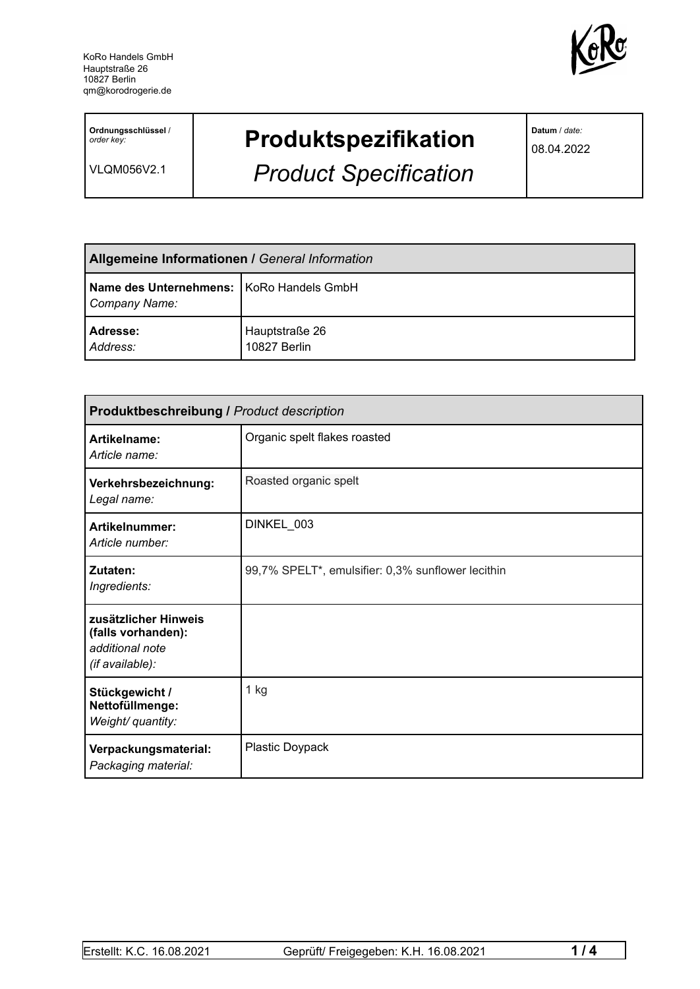

**Ordnungsschlüssel** / *order key:*

VLQM056V2.1

## **Produktspezifikation**

*Product Specification*

**Datum** / *date:*

08.04.2022

| Allgemeine Informationen / General Information              |                                |  |
|-------------------------------------------------------------|--------------------------------|--|
| Name des Unternehmens:   KoRo Handels GmbH<br>Company Name: |                                |  |
| Adresse:<br>Address:                                        | Hauptstraße 26<br>10827 Berlin |  |

| <b>Produktbeschreibung / Product description</b>                                 |                                                   |  |
|----------------------------------------------------------------------------------|---------------------------------------------------|--|
| Artikelname:<br>Article name:                                                    | Organic spelt flakes roasted                      |  |
| Verkehrsbezeichnung:<br>Legal name:                                              | Roasted organic spelt                             |  |
| Artikelnummer:<br>Article number:                                                | DINKEL 003                                        |  |
| Zutaten:<br>Ingredients:                                                         | 99,7% SPELT*, emulsifier: 0,3% sunflower lecithin |  |
| zusätzlicher Hinweis<br>(falls vorhanden):<br>additional note<br>(if available): |                                                   |  |
| Stückgewicht /<br>Nettofüllmenge:<br>Weight/ quantity:                           | $1$ kg                                            |  |
| Verpackungsmaterial:<br>Packaging material:                                      | Plastic Doypack                                   |  |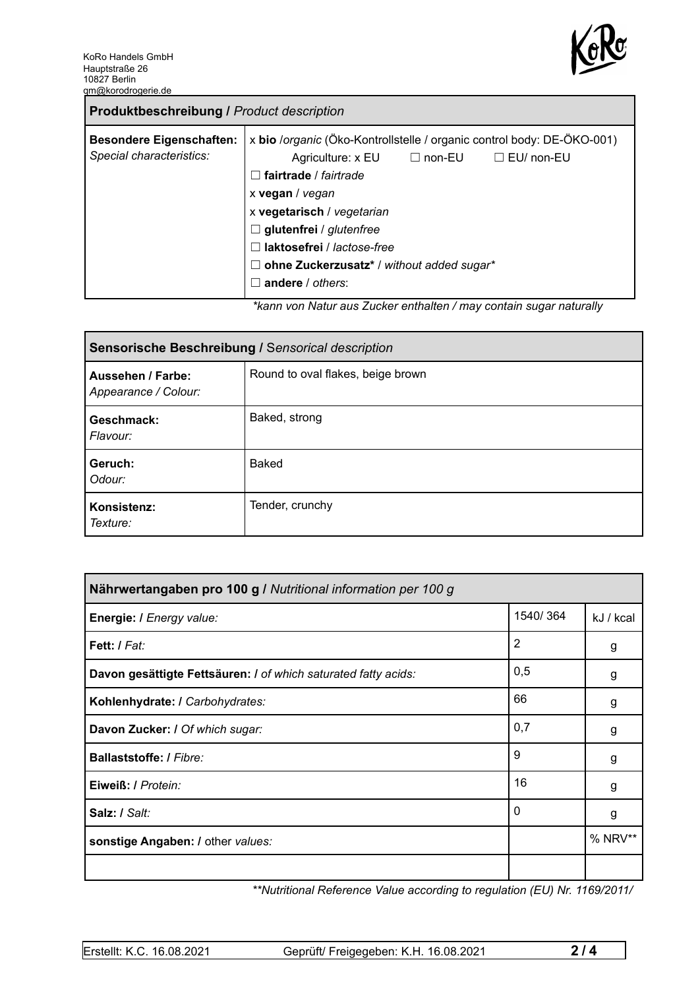

| <b>Produktbeschreibung / Product description</b>            |                                                                                                                                                                                                                                                                                                                                                                                                                                                                   |  |  |
|-------------------------------------------------------------|-------------------------------------------------------------------------------------------------------------------------------------------------------------------------------------------------------------------------------------------------------------------------------------------------------------------------------------------------------------------------------------------------------------------------------------------------------------------|--|--|
| <b>Besondere Eigenschaften:</b><br>Special characteristics: | x bio /organic (Öko-Kontrollstelle / organic control body: DE-ÖKO-001)<br>$\Box$ EU/ non-EU<br>Agriculture: $x \text{ EU}$ $\Box$ non-EU<br>fairtrade / fairtrade<br>$\perp$<br>x vegan / vegan<br>x vegetarisch / vegetarian<br>$\Box$ glutenfrei / glutenfree<br>laktosefrei / lactose-free<br>$\mathsf{L}$<br>ohne Zuckerzusatz* / without added sugar*<br>ш<br>andere / others:<br>- 1<br>ticono uno Aleturezzo Zuelconomikalten (mesucantein euspenaturallur |  |  |

*\*kann von Natur aus Zucker enthalten / may contain sugar naturally*

| Sensorische Beschreibung / Sensorical description |                                   |  |
|---------------------------------------------------|-----------------------------------|--|
| Aussehen / Farbe:<br>Appearance / Colour:         | Round to oval flakes, beige brown |  |
| Geschmack:<br>Flavour:                            | Baked, strong                     |  |
| Geruch:<br>Odour:                                 | Baked                             |  |
| Konsistenz:<br>Texture:                           | Tender, crunchy                   |  |

| Nährwertangaben pro 100 g / Nutritional information per 100 g  |          |           |
|----------------------------------------------------------------|----------|-----------|
| Energie: I Energy value:                                       | 1540/364 | kJ / kcal |
| Fett: / Fat:                                                   | 2        | g         |
| Davon gesättigte Fettsäuren: I of which saturated fatty acids: | 0,5      | g         |
| Kohlenhydrate: I Carbohydrates:                                | 66       | g         |
| Davon Zucker: I Of which sugar:                                | 0,7      | g         |
| Ballaststoffe: / Fibre:                                        | 9        | g         |
| Eiweiß: / Protein:                                             | 16       | g         |
| Salz: / Salt:                                                  | 0        | g         |
| sonstige Angaben: / other values:                              |          | % NRV**   |
|                                                                |          |           |

*\*\*Nutritional Reference Value according to regulation (EU) Nr. 1169/2011/*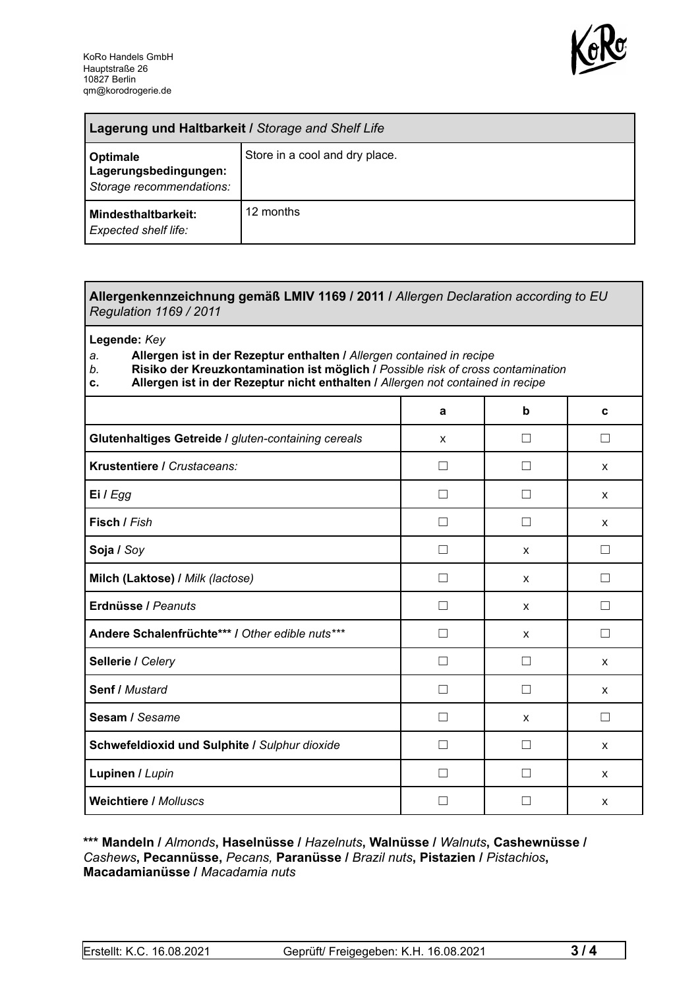

| Lagerung und Haltbarkeit / Storage and Shelf Life             |                                |  |
|---------------------------------------------------------------|--------------------------------|--|
| Optimale<br>Lagerungsbedingungen:<br>Storage recommendations: | Store in a cool and dry place. |  |
| Mindesthaltbarkeit:<br><b>Expected shelf life:</b>            | 12 months                      |  |

## **Allergenkennzeichnung gemäß LMIV 1169 / 2011 /** *Allergen Declaration according to EU Regulation 1169 / 2011*

**Legende:** *Key*

*a.* **Allergen ist in der Rezeptur enthalten /** *Allergen contained in recipe*

- *b.* **Risiko der Kreuzkontamination ist möglich /** *Possible risk of cross contamination*
- **c. Allergen ist in der Rezeptur nicht enthalten /** *Allergen not contained in recipe*

|                                                     | a                 | b            | C |
|-----------------------------------------------------|-------------------|--------------|---|
| Glutenhaltiges Getreide / gluten-containing cereals | X                 | $\mathsf{L}$ | П |
| Krustentiere / Crustaceans:                         |                   |              | X |
| Ei / Egg                                            |                   |              | X |
| Fisch / Fish                                        |                   |              | X |
| Soja / Soy                                          |                   | X            | П |
| Milch (Laktose) / Milk (lactose)                    | П                 | $\mathsf{x}$ | П |
| Erdnüsse / Peanuts                                  | П                 | $\mathsf{x}$ | П |
| Andere Schalenfrüchte*** / Other edible nuts***     | П                 | X            | П |
| Sellerie / Celery                                   | П                 | $\perp$      | X |
| <b>Senf / Mustard</b>                               | $\vert \ \ \vert$ | $\Box$       | X |
| Sesam / Sesame                                      | Ш                 | X            | П |
| Schwefeldioxid und Sulphite / Sulphur dioxide       | П                 |              | X |
| Lupinen / Lupin                                     |                   |              | X |
| <b>Weichtiere / Molluscs</b>                        |                   |              | X |

## **\*\*\* Mandeln /** *Almonds***, Haselnüsse /** *Hazelnuts***, Walnüsse /** *Walnuts***, Cashewnüsse /** *Cashews***, Pecannüsse,** *Pecans,* **Paranüsse /** *Brazil nuts***, Pistazien /** *Pistachios***, Macadamianüsse /** *Macadamia nuts*